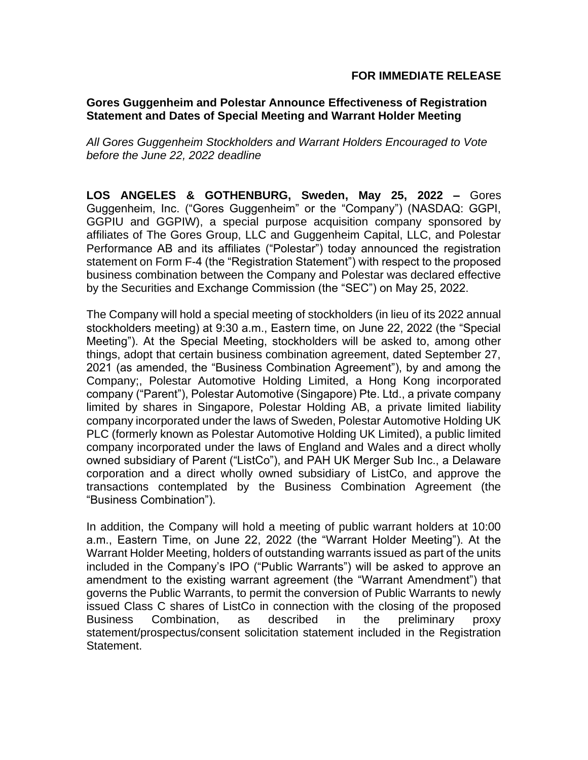# **FOR IMMEDIATE RELEASE**

# **Gores Guggenheim and Polestar Announce Effectiveness of Registration Statement and Dates of Special Meeting and Warrant Holder Meeting**

*All Gores Guggenheim Stockholders and Warrant Holders Encouraged to Vote before the June 22, 2022 deadline*

**LOS ANGELES & GOTHENBURG, Sweden, May 25, 2022 –** Gores Guggenheim, Inc. ("Gores Guggenheim" or the "Company") (NASDAQ: GGPI, GGPIU and GGPIW), a special purpose acquisition company sponsored by affiliates of The Gores Group, LLC and Guggenheim Capital, LLC, and Polestar Performance AB and its affiliates ("Polestar") today announced the registration statement on Form F-4 (the "Registration Statement") with respect to the proposed business combination between the Company and Polestar was declared effective by the Securities and Exchange Commission (the "SEC") on May 25, 2022.

The Company will hold a special meeting of stockholders (in lieu of its 2022 annual stockholders meeting) at 9:30 a.m., Eastern time, on June 22, 2022 (the "Special Meeting"). At the Special Meeting, stockholders will be asked to, among other things, adopt that certain business combination agreement, dated September 27, 2021 (as amended, the "Business Combination Agreement"), by and among the Company;, Polestar Automotive Holding Limited, a Hong Kong incorporated company ("Parent"), Polestar Automotive (Singapore) Pte. Ltd., a private company limited by shares in Singapore, Polestar Holding AB, a private limited liability company incorporated under the laws of Sweden, Polestar Automotive Holding UK PLC (formerly known as Polestar Automotive Holding UK Limited), a public limited company incorporated under the laws of England and Wales and a direct wholly owned subsidiary of Parent ("ListCo"), and PAH UK Merger Sub Inc., a Delaware corporation and a direct wholly owned subsidiary of ListCo, and approve the transactions contemplated by the Business Combination Agreement (the "Business Combination").

In addition, the Company will hold a meeting of public warrant holders at 10:00 a.m., Eastern Time, on June 22, 2022 (the "Warrant Holder Meeting"). At the Warrant Holder Meeting, holders of outstanding warrants issued as part of the units included in the Company's IPO ("Public Warrants") will be asked to approve an amendment to the existing warrant agreement (the "Warrant Amendment") that governs the Public Warrants, to permit the conversion of Public Warrants to newly issued Class C shares of ListCo in connection with the closing of the proposed Business Combination, as described in the preliminary proxy statement/prospectus/consent solicitation statement included in the Registration Statement.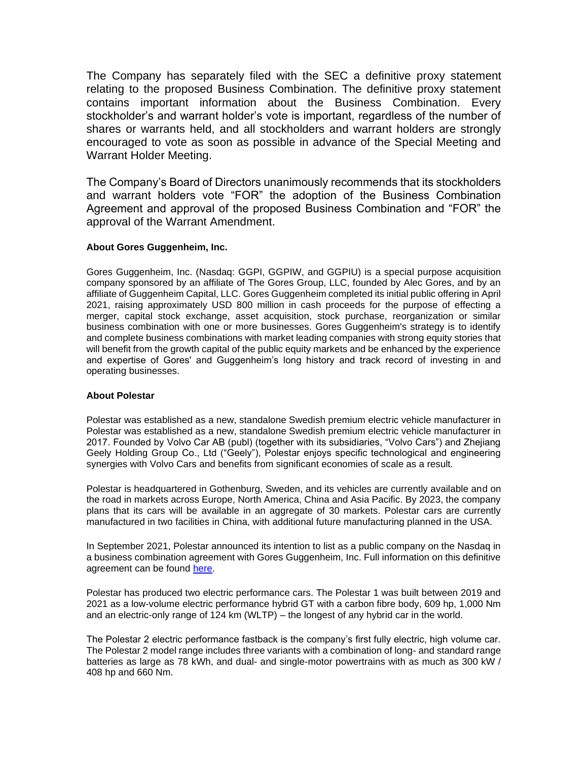The Company has separately filed with the SEC a definitive proxy statement relating to the proposed Business Combination. The definitive proxy statement contains important information about the Business Combination. Every stockholder's and warrant holder's vote is important, regardless of the number of shares or warrants held, and all stockholders and warrant holders are strongly encouraged to vote as soon as possible in advance of the Special Meeting and Warrant Holder Meeting.

The Company's Board of Directors unanimously recommends that its stockholders and warrant holders vote "FOR" the adoption of the Business Combination Agreement and approval of the proposed Business Combination and "FOR" the approval of the Warrant Amendment.

# **About Gores Guggenheim, Inc.**

Gores Guggenheim, Inc. (Nasdaq: GGPI, GGPIW, and GGPIU) is a special purpose acquisition company sponsored by an affiliate of The Gores Group, LLC, founded by Alec Gores, and by an affiliate of Guggenheim Capital, LLC. Gores Guggenheim completed its initial public offering in April 2021, raising approximately USD 800 million in cash proceeds for the purpose of effecting a merger, capital stock exchange, asset acquisition, stock purchase, reorganization or similar business combination with one or more businesses. Gores Guggenheim's strategy is to identify and complete business combinations with market leading companies with strong equity stories that will benefit from the growth capital of the public equity markets and be enhanced by the experience and expertise of Gores' and Guggenheim's long history and track record of investing in and operating businesses.

## **About Polestar**

Polestar was established as a new, standalone Swedish premium electric vehicle manufacturer in Polestar was established as a new, standalone Swedish premium electric vehicle manufacturer in 2017. Founded by Volvo Car AB (publ) (together with its subsidiaries, "Volvo Cars") and Zhejiang Geely Holding Group Co., Ltd ("Geely"), Polestar enjoys specific technological and engineering synergies with Volvo Cars and benefits from significant economies of scale as a result.

Polestar is headquartered in Gothenburg, Sweden, and its vehicles are currently available and on the road in markets across Europe, North America, China and Asia Pacific. By 2023, the company plans that its cars will be available in an aggregate of 30 markets. Polestar cars are currently manufactured in two facilities in China, with additional future manufacturing planned in the USA.

In September 2021, Polestar announced its intention to list as a public company on the Nasdaq in a business combination agreement with Gores Guggenheim, Inc. Full information on this definitive agreement can be found [here.](https://media.polestar.com/global/en/media/pressreleases/638625)

Polestar has produced two electric performance cars. The Polestar 1 was built between 2019 and 2021 as a low-volume electric performance hybrid GT with a carbon fibre body, 609 hp, 1,000 Nm and an electric-only range of 124 km (WLTP) – the longest of any hybrid car in the world.

The Polestar 2 electric performance fastback is the company's first fully electric, high volume car. The Polestar 2 model range includes three variants with a combination of long- and standard range batteries as large as 78 kWh, and dual- and single-motor powertrains with as much as 300 kW / 408 hp and 660 Nm.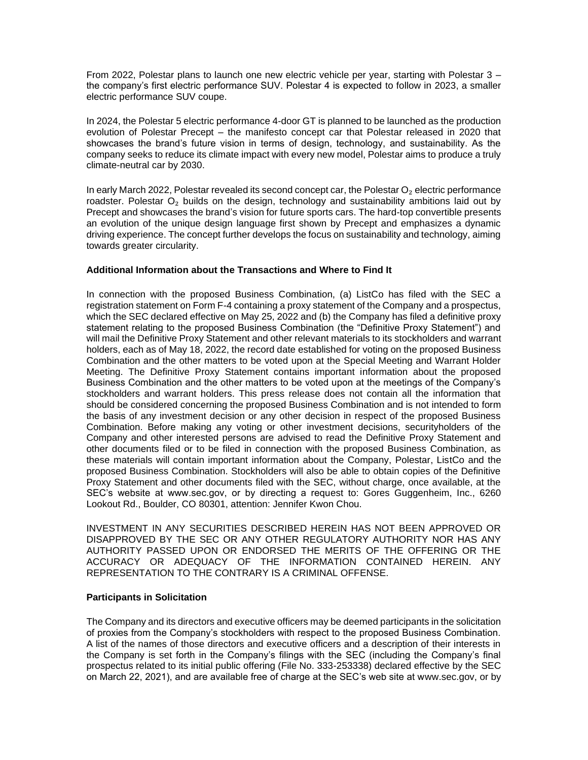From 2022, Polestar plans to launch one new electric vehicle per year, starting with Polestar 3 – the company's first electric performance SUV. Polestar 4 is expected to follow in 2023, a smaller electric performance SUV coupe.

In 2024, the Polestar 5 electric performance 4-door GT is planned to be launched as the production evolution of Polestar Precept – the manifesto concept car that Polestar released in 2020 that showcases the brand's future vision in terms of design, technology, and sustainability. As the company seeks to reduce its climate impact with every new model, Polestar aims to produce a truly climate-neutral car by 2030.

In early March 2022, Polestar revealed its second concept car, the Polestar  $O<sub>2</sub>$  electric performance roadster. Polestar  $O<sub>2</sub>$  builds on the design, technology and sustainability ambitions laid out by Precept and showcases the brand's vision for future sports cars. The hard-top convertible presents an evolution of the unique design language first shown by Precept and emphasizes a dynamic driving experience. The concept further develops the focus on sustainability and technology, aiming towards greater circularity.

# **Additional Information about the Transactions and Where to Find It**

In connection with the proposed Business Combination, (a) ListCo has filed with the SEC a registration statement on Form F-4 containing a proxy statement of the Company and a prospectus, which the SEC declared effective on May 25, 2022 and (b) the Company has filed a definitive proxy statement relating to the proposed Business Combination (the "Definitive Proxy Statement") and will mail the Definitive Proxy Statement and other relevant materials to its stockholders and warrant holders, each as of May 18, 2022, the record date established for voting on the proposed Business Combination and the other matters to be voted upon at the Special Meeting and Warrant Holder Meeting. The Definitive Proxy Statement contains important information about the proposed Business Combination and the other matters to be voted upon at the meetings of the Company's stockholders and warrant holders. This press release does not contain all the information that should be considered concerning the proposed Business Combination and is not intended to form the basis of any investment decision or any other decision in respect of the proposed Business Combination. Before making any voting or other investment decisions, securityholders of the Company and other interested persons are advised to read the Definitive Proxy Statement and other documents filed or to be filed in connection with the proposed Business Combination, as these materials will contain important information about the Company, Polestar, ListCo and the proposed Business Combination. Stockholders will also be able to obtain copies of the Definitive Proxy Statement and other documents filed with the SEC, without charge, once available, at the SEC's website at www.sec.gov, or by directing a request to: Gores Guggenheim, Inc., 6260 Lookout Rd., Boulder, CO 80301, attention: Jennifer Kwon Chou.

INVESTMENT IN ANY SECURITIES DESCRIBED HEREIN HAS NOT BEEN APPROVED OR DISAPPROVED BY THE SEC OR ANY OTHER REGULATORY AUTHORITY NOR HAS ANY AUTHORITY PASSED UPON OR ENDORSED THE MERITS OF THE OFFERING OR THE ACCURACY OR ADEQUACY OF THE INFORMATION CONTAINED HEREIN. ANY REPRESENTATION TO THE CONTRARY IS A CRIMINAL OFFENSE.

## **Participants in Solicitation**

The Company and its directors and executive officers may be deemed participants in the solicitation of proxies from the Company's stockholders with respect to the proposed Business Combination. A list of the names of those directors and executive officers and a description of their interests in the Company is set forth in the Company's filings with the SEC (including the Company's final prospectus related to its initial public offering (File No. 333-253338) declared effective by the SEC on March 22, 2021), and are available free of charge at the SEC's web site at www.sec.gov, or by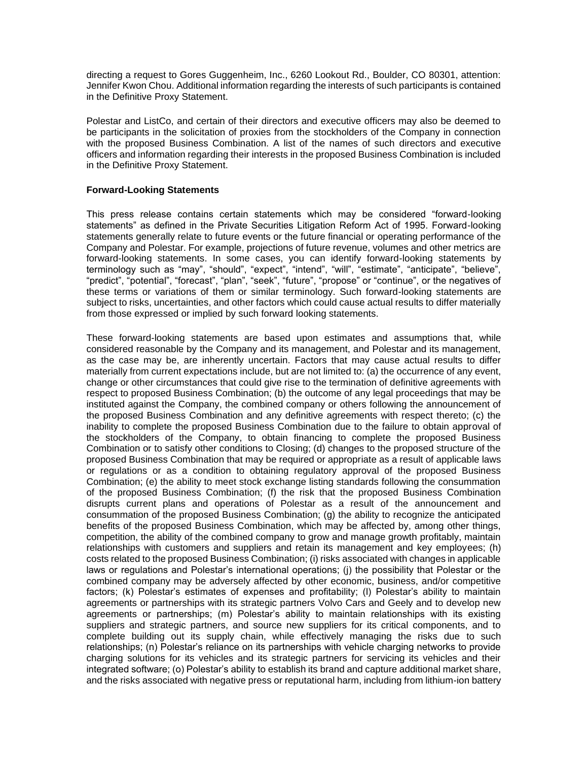directing a request to Gores Guggenheim, Inc., 6260 Lookout Rd., Boulder, CO 80301, attention: Jennifer Kwon Chou. Additional information regarding the interests of such participants is contained in the Definitive Proxy Statement.

Polestar and ListCo, and certain of their directors and executive officers may also be deemed to be participants in the solicitation of proxies from the stockholders of the Company in connection with the proposed Business Combination. A list of the names of such directors and executive officers and information regarding their interests in the proposed Business Combination is included in the Definitive Proxy Statement.

## **Forward-Looking Statements**

This press release contains certain statements which may be considered "forward-looking statements" as defined in the Private Securities Litigation Reform Act of 1995. Forward-looking statements generally relate to future events or the future financial or operating performance of the Company and Polestar. For example, projections of future revenue, volumes and other metrics are forward-looking statements. In some cases, you can identify forward-looking statements by terminology such as "may", "should", "expect", "intend", "will", "estimate", "anticipate", "believe", "predict", "potential", "forecast", "plan", "seek", "future", "propose" or "continue", or the negatives of these terms or variations of them or similar terminology. Such forward-looking statements are subject to risks, uncertainties, and other factors which could cause actual results to differ materially from those expressed or implied by such forward looking statements.

These forward-looking statements are based upon estimates and assumptions that, while considered reasonable by the Company and its management, and Polestar and its management, as the case may be, are inherently uncertain. Factors that may cause actual results to differ materially from current expectations include, but are not limited to: (a) the occurrence of any event, change or other circumstances that could give rise to the termination of definitive agreements with respect to proposed Business Combination; (b) the outcome of any legal proceedings that may be instituted against the Company, the combined company or others following the announcement of the proposed Business Combination and any definitive agreements with respect thereto; (c) the inability to complete the proposed Business Combination due to the failure to obtain approval of the stockholders of the Company, to obtain financing to complete the proposed Business Combination or to satisfy other conditions to Closing; (d) changes to the proposed structure of the proposed Business Combination that may be required or appropriate as a result of applicable laws or regulations or as a condition to obtaining regulatory approval of the proposed Business Combination; (e) the ability to meet stock exchange listing standards following the consummation of the proposed Business Combination; (f) the risk that the proposed Business Combination disrupts current plans and operations of Polestar as a result of the announcement and consummation of the proposed Business Combination; (g) the ability to recognize the anticipated benefits of the proposed Business Combination, which may be affected by, among other things, competition, the ability of the combined company to grow and manage growth profitably, maintain relationships with customers and suppliers and retain its management and key employees; (h) costs related to the proposed Business Combination; (i) risks associated with changes in applicable laws or regulations and Polestar's international operations; (j) the possibility that Polestar or the combined company may be adversely affected by other economic, business, and/or competitive factors; (k) Polestar's estimates of expenses and profitability; (l) Polestar's ability to maintain agreements or partnerships with its strategic partners Volvo Cars and Geely and to develop new agreements or partnerships; (m) Polestar's ability to maintain relationships with its existing suppliers and strategic partners, and source new suppliers for its critical components, and to complete building out its supply chain, while effectively managing the risks due to such relationships; (n) Polestar's reliance on its partnerships with vehicle charging networks to provide charging solutions for its vehicles and its strategic partners for servicing its vehicles and their integrated software; (o) Polestar's ability to establish its brand and capture additional market share, and the risks associated with negative press or reputational harm, including from lithium-ion battery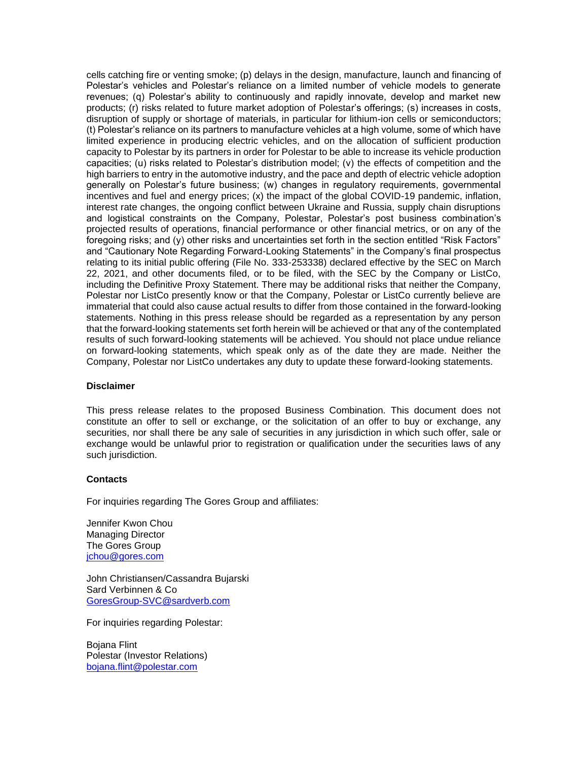cells catching fire or venting smoke; (p) delays in the design, manufacture, launch and financing of Polestar's vehicles and Polestar's reliance on a limited number of vehicle models to generate revenues; (q) Polestar's ability to continuously and rapidly innovate, develop and market new products; (r) risks related to future market adoption of Polestar's offerings; (s) increases in costs, disruption of supply or shortage of materials, in particular for lithium-ion cells or semiconductors; (t) Polestar's reliance on its partners to manufacture vehicles at a high volume, some of which have limited experience in producing electric vehicles, and on the allocation of sufficient production capacity to Polestar by its partners in order for Polestar to be able to increase its vehicle production capacities; (u) risks related to Polestar's distribution model; (v) the effects of competition and the high barriers to entry in the automotive industry, and the pace and depth of electric vehicle adoption generally on Polestar's future business; (w) changes in regulatory requirements, governmental incentives and fuel and energy prices; (x) the impact of the global COVID-19 pandemic, inflation, interest rate changes, the ongoing conflict between Ukraine and Russia, supply chain disruptions and logistical constraints on the Company, Polestar, Polestar's post business combination's projected results of operations, financial performance or other financial metrics, or on any of the foregoing risks; and (y) other risks and uncertainties set forth in the section entitled "Risk Factors" and "Cautionary Note Regarding Forward-Looking Statements" in the Company's final prospectus relating to its initial public offering (File No. 333-253338) declared effective by the SEC on March 22, 2021, and other documents filed, or to be filed, with the SEC by the Company or ListCo, including the Definitive Proxy Statement. There may be additional risks that neither the Company, Polestar nor ListCo presently know or that the Company, Polestar or ListCo currently believe are immaterial that could also cause actual results to differ from those contained in the forward-looking statements. Nothing in this press release should be regarded as a representation by any person that the forward-looking statements set forth herein will be achieved or that any of the contemplated results of such forward-looking statements will be achieved. You should not place undue reliance on forward-looking statements, which speak only as of the date they are made. Neither the Company, Polestar nor ListCo undertakes any duty to update these forward-looking statements.

## **Disclaimer**

This press release relates to the proposed Business Combination. This document does not constitute an offer to sell or exchange, or the solicitation of an offer to buy or exchange, any securities, nor shall there be any sale of securities in any jurisdiction in which such offer, sale or exchange would be unlawful prior to registration or qualification under the securities laws of any such jurisdiction.

#### **Contacts**

For inquiries regarding The Gores Group and affiliates:

Jennifer Kwon Chou Managing Director The Gores Group [jchou@gores.com](mailto:jchou@gores.com)

John Christiansen/Cassandra Bujarski Sard Verbinnen & Co [GoresGroup-SVC@sardverb.com](mailto:GoresGroup-SVC@sardverb.com)

For inquiries regarding Polestar:

Bojana Flint Polestar (Investor Relations) [bojana.flint@polestar.com](mailto:bojana.flint@polestar.com)